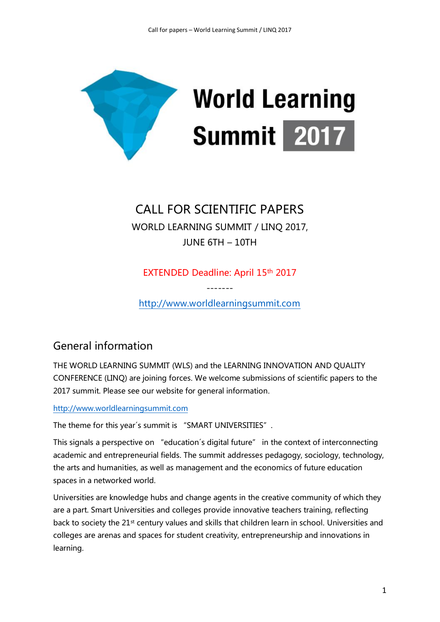

# CALL FOR SCIENTIFIC PAPERS

WORLD LEARNING SUMMIT / LINQ 2017, JUNE 6TH – 10TH

EXTENDED Deadline: April 15th 2017

------ [http://www.worldlearningsummit.com](http://www.worldlearningsummit.com/)

# General information

THE WORLD LEARNING SUMMIT (WLS) and the LEARNING INNOVATION AND QUALITY CONFERENCE (LINQ) are joining forces. We welcome submissions of scientific papers to the 2017 summit. Please see our website for general information.

[http://www.worldlearningsummit.com](http://www.worldlearningsummit.com/)

The theme for this year's summit is "SMART UNIVERSITIES".

This signals a perspective on "education´s digital future" in the context of interconnecting academic and entrepreneurial fields. The summit addresses pedagogy, sociology, technology, the arts and humanities, as well as management and the economics of future education spaces in a networked world.

Universities are knowledge hubs and change agents in the creative community of which they are a part. Smart Universities and colleges provide innovative teachers training, reflecting back to society the 21st century values and skills that children learn in school. Universities and colleges are arenas and spaces for student creativity, entrepreneurship and innovations in learning.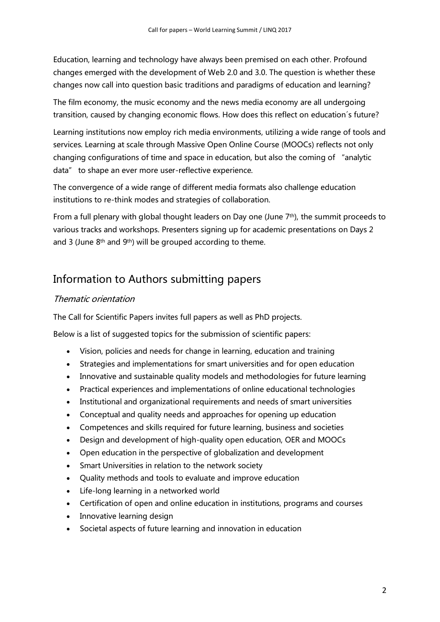Education, learning and technology have always been premised on each other. Profound changes emerged with the development of Web 2.0 and 3.0. The question is whether these changes now call into question basic traditions and paradigms of education and learning?

The film economy, the music economy and the news media economy are all undergoing transition, caused by changing economic flows. How does this reflect on education´s future?

Learning institutions now employ rich media environments, utilizing a wide range of tools and services. Learning at scale through Massive Open Online Course (MOOCs) reflects not only changing configurations of time and space in education, but also the coming of "analytic data" to shape an ever more user-reflective experience.

The convergence of a wide range of different media formats also challenge education institutions to re-think modes and strategies of collaboration.

From a full plenary with global thought leaders on Day one (June 7th), the summit proceeds to various tracks and workshops. Presenters signing up for academic presentations on Days 2 and 3 (June 8<sup>th</sup> and 9<sup>th</sup>) will be grouped according to theme.

# Information to Authors submitting papers

#### Thematic orientation

The Call for Scientific Papers invites full papers as well as PhD projects.

Below is a list of suggested topics for the submission of scientific papers:

- Vision, policies and needs for change in learning, education and training
- Strategies and implementations for smart universities and for open education
- Innovative and sustainable quality models and methodologies for future learning
- Practical experiences and implementations of online educational technologies
- Institutional and organizational requirements and needs of smart universities
- Conceptual and quality needs and approaches for opening up education
- Competences and skills required for future learning, business and societies
- Design and development of high-quality open education, OER and MOOCs
- Open education in the perspective of globalization and development
- Smart Universities in relation to the network society
- Quality methods and tools to evaluate and improve education
- Life-long learning in a networked world
- Certification of open and online education in institutions, programs and courses
- Innovative learning design
- Societal aspects of future learning and innovation in education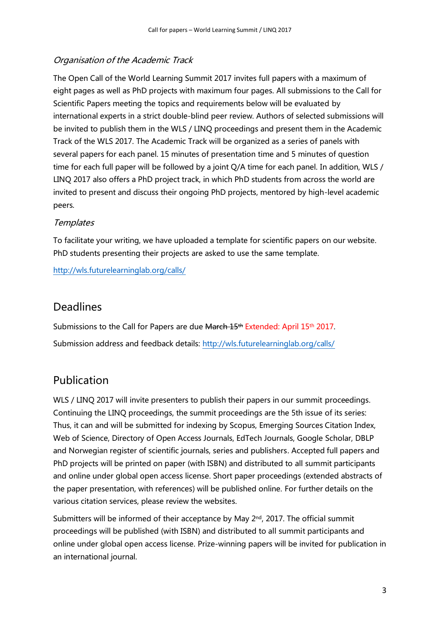#### Organisation of the Academic Track

The Open Call of the World Learning Summit 2017 invites full papers with a maximum of eight pages as well as PhD projects with maximum four pages. All submissions to the Call for Scientific Papers meeting the topics and requirements below will be evaluated by international experts in a strict double-blind peer review. Authors of selected submissions will be invited to publish them in the WLS / LINQ proceedings and present them in the Academic Track of the WLS 2017. The Academic Track will be organized as a series of panels with several papers for each panel. 15 minutes of presentation time and 5 minutes of question time for each full paper will be followed by a joint Q/A time for each panel. In addition, WLS / LINQ 2017 also offers a PhD project track, in which PhD students from across the world are invited to present and discuss their ongoing PhD projects, mentored by high-level academic peers.

#### **Templates**

To facilitate your writing, we have uploaded a template for scientific papers on our website. PhD students presenting their projects are asked to use the same template.

<http://wls.futurelearninglab.org/calls/>

#### Deadlines

Submissions to the Call for Papers are due March 15<sup>th</sup> Extended: April 15<sup>th</sup> 2017. Submission address and feedback details:<http://wls.futurelearninglab.org/calls/>

#### Publication

WLS / LINQ 2017 will invite presenters to publish their papers in our summit proceedings. Continuing the LINQ proceedings, the summit proceedings are the 5th issue of its series: Thus, it can and will be submitted for indexing by Scopus, Emerging Sources Citation Index, Web of Science, Directory of Open Access Journals, EdTech Journals, Google Scholar, DBLP and Norwegian register of scientific journals, series and publishers. Accepted full papers and PhD projects will be printed on paper (with ISBN) and distributed to all summit participants and online under global open access license. Short paper proceedings (extended abstracts of the paper presentation, with references) will be published online. For further details on the various citation services, please review the websites.

Submitters will be informed of their acceptance by May  $2<sup>nd</sup>$ , 2017. The official summit proceedings will be published (with ISBN) and distributed to all summit participants and online under global open access license. Prize-winning papers will be invited for publication in an international journal.